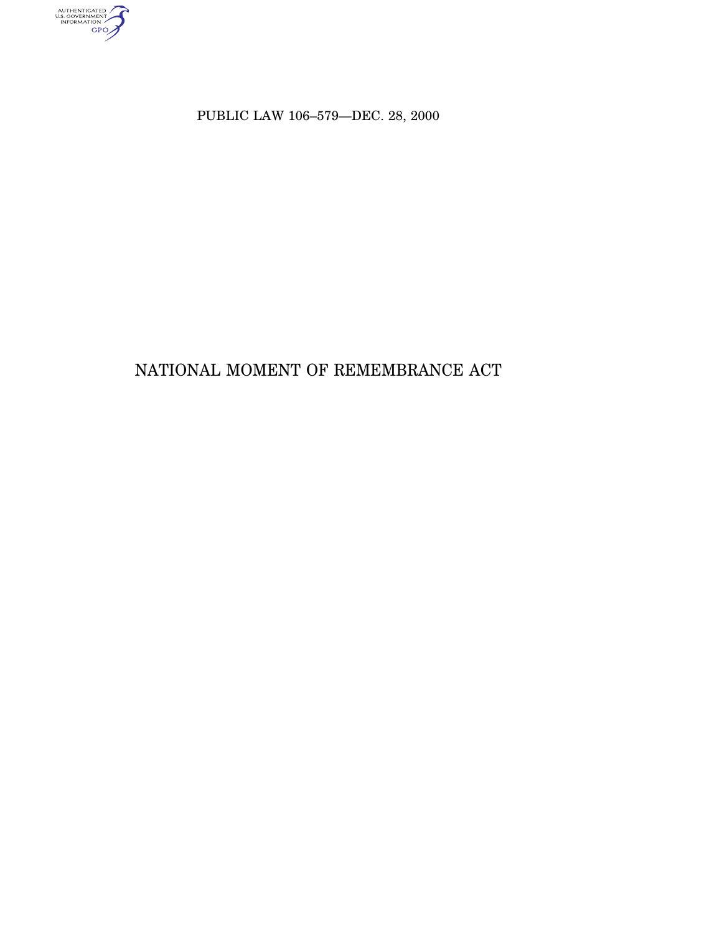AUTHENTICATED

PUBLIC LAW 106–579—DEC. 28, 2000

# NATIONAL MOMENT OF REMEMBRANCE ACT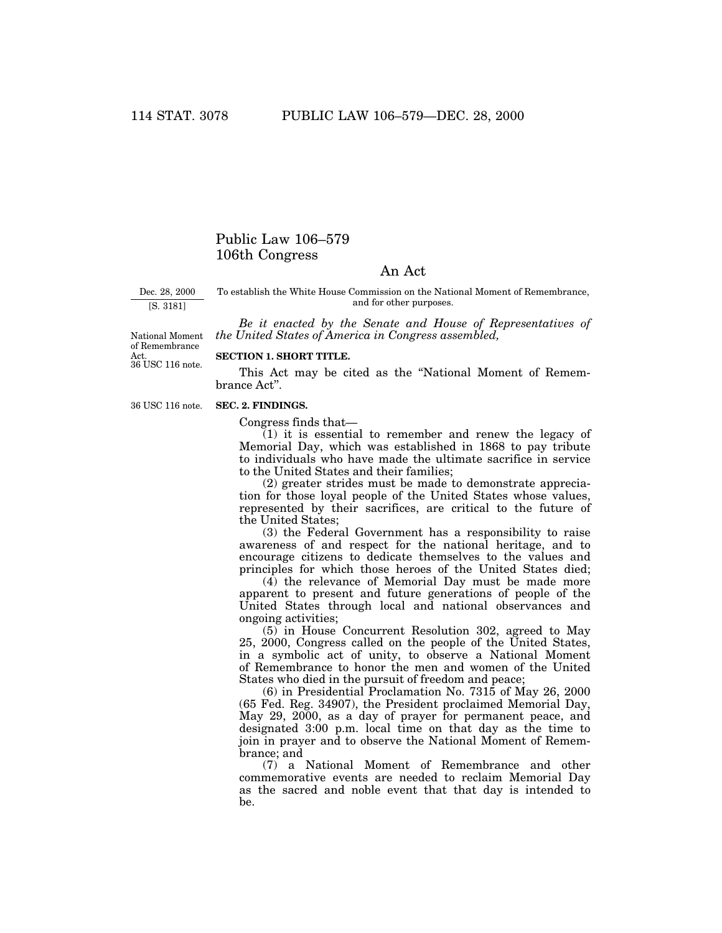# Public Law 106–579 106th Congress

# An Act

Dec. 28, 2000 [S. 3181]

To establish the White House Commission on the National Moment of Remembrance, and for other purposes.

*Be it enacted by the Senate and House of Representatives of the United States of America in Congress assembled,*

Act.<br>36 USC 116 note. National Moment of Remembrance

# **SECTION 1. SHORT TITLE.**

This Act may be cited as the ''National Moment of Remembrance Act''.

36 USC 116 note.

#### **SEC. 2. FINDINGS.**

Congress finds that—

(1) it is essential to remember and renew the legacy of Memorial Day, which was established in 1868 to pay tribute to individuals who have made the ultimate sacrifice in service to the United States and their families;

(2) greater strides must be made to demonstrate appreciation for those loyal people of the United States whose values, represented by their sacrifices, are critical to the future of the United States;

(3) the Federal Government has a responsibility to raise awareness of and respect for the national heritage, and to encourage citizens to dedicate themselves to the values and principles for which those heroes of the United States died;

(4) the relevance of Memorial Day must be made more apparent to present and future generations of people of the United States through local and national observances and ongoing activities;

(5) in House Concurrent Resolution 302, agreed to May 25, 2000, Congress called on the people of the United States, in a symbolic act of unity, to observe a National Moment of Remembrance to honor the men and women of the United States who died in the pursuit of freedom and peace;

(6) in Presidential Proclamation No. 7315 of May 26, 2000 (65 Fed. Reg. 34907), the President proclaimed Memorial Day, May 29, 2000, as a day of prayer for permanent peace, and designated 3:00 p.m. local time on that day as the time to join in prayer and to observe the National Moment of Remembrance; and

(7) a National Moment of Remembrance and other commemorative events are needed to reclaim Memorial Day as the sacred and noble event that that day is intended to be.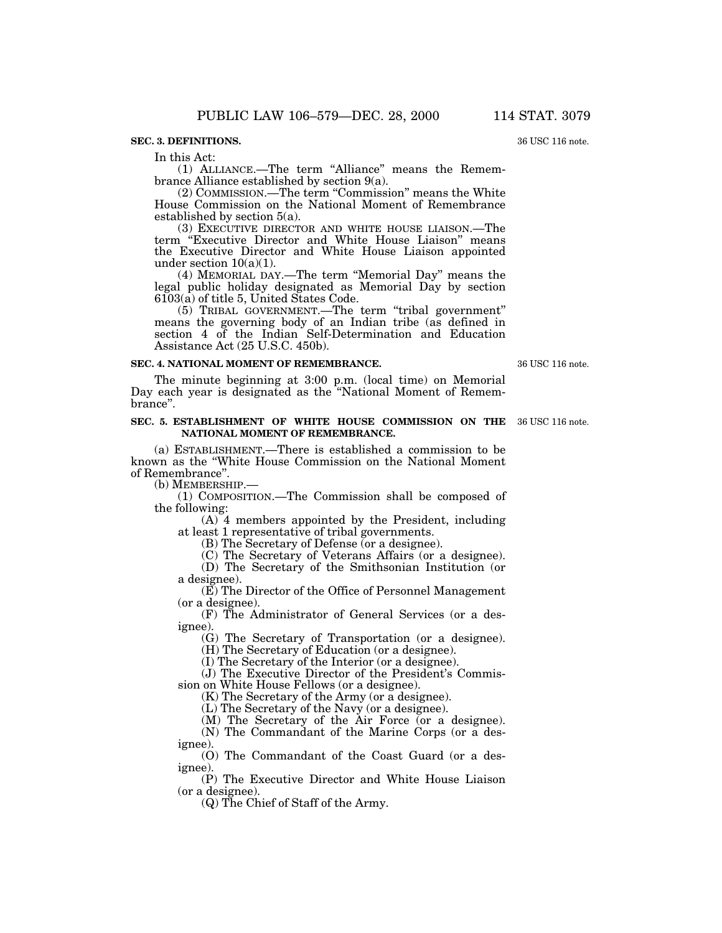# **SEC. 3. DEFINITIONS.**

In this Act:

(1) ALLIANCE.—The term ''Alliance'' means the Remembrance Alliance established by section 9(a).

(2) COMMISSION.—The term ''Commission'' means the White House Commission on the National Moment of Remembrance established by section 5(a).

(3) EXECUTIVE DIRECTOR AND WHITE HOUSE LIAISON.—The term "Executive Director and White House Liaison" means the Executive Director and White House Liaison appointed under section  $10(a)(1)$ .

(4) MEMORIAL DAY.—The term ''Memorial Day'' means the legal public holiday designated as Memorial Day by section 6103(a) of title 5, United States Code.

(5) TRIBAL GOVERNMENT.—The term ''tribal government'' means the governing body of an Indian tribe (as defined in section 4 of the Indian Self-Determination and Education Assistance Act (25 U.S.C. 450b).

### **SEC. 4. NATIONAL MOMENT OF REMEMBRANCE.**

The minute beginning at 3:00 p.m. (local time) on Memorial Day each year is designated as the ''National Moment of Remembrance''.

#### **SEC. 5. ESTABLISHMENT OF WHITE HOUSE COMMISSION ON THE** 36 USC 116 note. **NATIONAL MOMENT OF REMEMBRANCE.**

(a) ESTABLISHMENT.—There is established a commission to be known as the ''White House Commission on the National Moment of Remembrance''.

(b) MEMBERSHIP.—

(1) COMPOSITION.—The Commission shall be composed of the following:

(A) 4 members appointed by the President, including at least 1 representative of tribal governments.

(B) The Secretary of Defense (or a designee).

(C) The Secretary of Veterans Affairs (or a designee).

(D) The Secretary of the Smithsonian Institution (or a designee).

(E) The Director of the Office of Personnel Management (or a designee).

(F) The Administrator of General Services (or a designee).

(G) The Secretary of Transportation (or a designee).

(H) The Secretary of Education (or a designee).

(I) The Secretary of the Interior (or a designee).

(J) The Executive Director of the President's Commission on White House Fellows (or a designee).

(K) The Secretary of the Army (or a designee).

(L) The Secretary of the Navy (or a designee).

(M) The Secretary of the Air Force (or a designee).

(N) The Commandant of the Marine Corps (or a designee).

(O) The Commandant of the Coast Guard (or a designee).

(P) The Executive Director and White House Liaison (or a designee).

(Q) The Chief of Staff of the Army.

36 USC 116 note.

36 USC 116 note.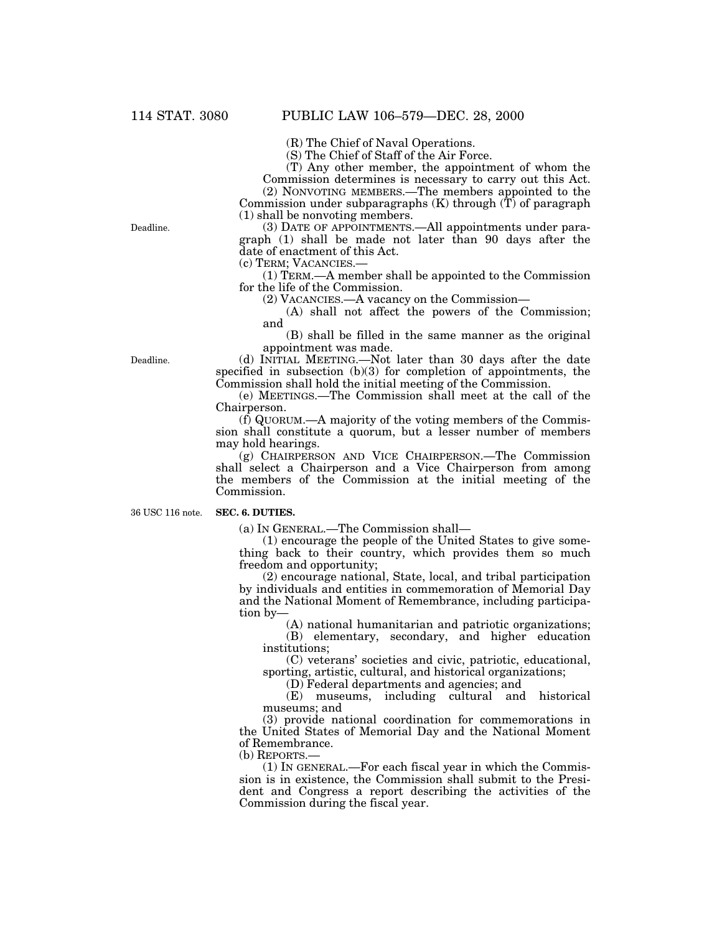(R) The Chief of Naval Operations.

(S) The Chief of Staff of the Air Force.

(T) Any other member, the appointment of whom the Commission determines is necessary to carry out this Act.

(2) NONVOTING MEMBERS.—The members appointed to the Commission under subparagraphs  $(K)$  through  $(\tilde{T})$  of paragraph (1) shall be nonvoting members.

(3) DATE OF APPOINTMENTS.—All appointments under paragraph (1) shall be made not later than 90 days after the date of enactment of this Act.

(c) TERM; VACANCIES.—

(1) TERM.—A member shall be appointed to the Commission for the life of the Commission.

(2) VACANCIES.—A vacancy on the Commission—

(A) shall not affect the powers of the Commission; and

(B) shall be filled in the same manner as the original appointment was made.

(d) INITIAL MEETING.—Not later than 30 days after the date specified in subsection (b)(3) for completion of appointments, the Commission shall hold the initial meeting of the Commission.

(e) MEETINGS.—The Commission shall meet at the call of the Chairperson.

 $(f)$  QUORUM.—A majority of the voting members of the Commission shall constitute a quorum, but a lesser number of members may hold hearings.

(g) CHAIRPERSON AND VICE CHAIRPERSON.—The Commission shall select a Chairperson and a Vice Chairperson from among the members of the Commission at the initial meeting of the Commission.

36 USC 116 note.

#### **SEC. 6. DUTIES.**

(a) IN GENERAL.—The Commission shall—

(1) encourage the people of the United States to give something back to their country, which provides them so much freedom and opportunity;

(2) encourage national, State, local, and tribal participation by individuals and entities in commemoration of Memorial Day and the National Moment of Remembrance, including participation by—

(A) national humanitarian and patriotic organizations;

(B) elementary, secondary, and higher education institutions;

(C) veterans' societies and civic, patriotic, educational, sporting, artistic, cultural, and historical organizations;

(D) Federal departments and agencies; and

(E) museums, including cultural and historical museums; and

(3) provide national coordination for commemorations in the United States of Memorial Day and the National Moment of Remembrance.

(b) REPORTS.—

(1) IN GENERAL.—For each fiscal year in which the Commission is in existence, the Commission shall submit to the President and Congress a report describing the activities of the Commission during the fiscal year.

Deadline.

Deadline.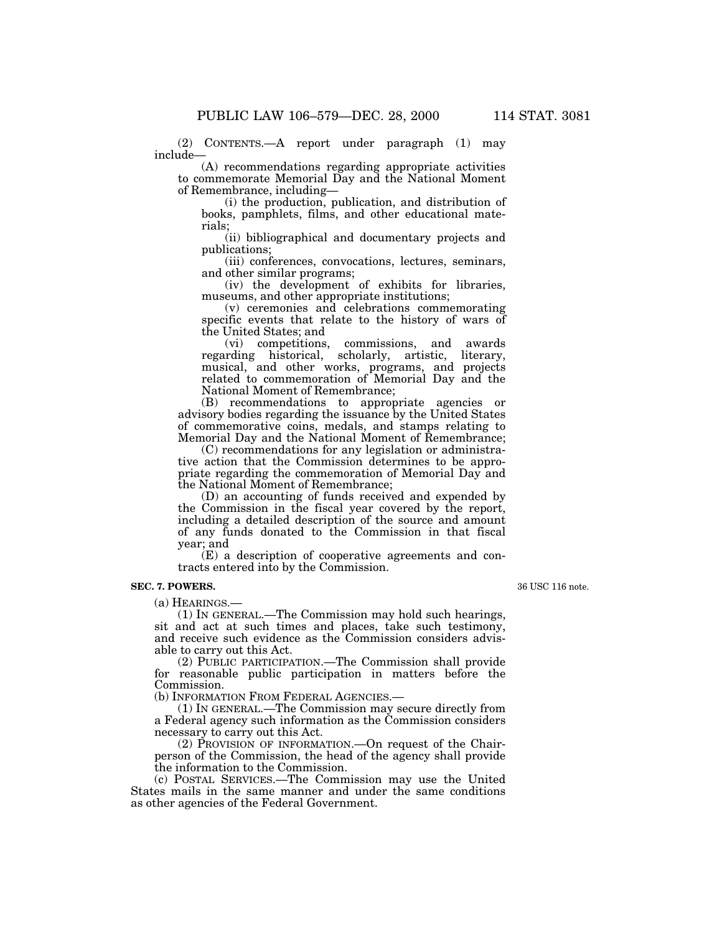(2) CONTENTS.—A report under paragraph (1) may include—

(A) recommendations regarding appropriate activities to commemorate Memorial Day and the National Moment of Remembrance, including—

(i) the production, publication, and distribution of books, pamphlets, films, and other educational materials;

(ii) bibliographical and documentary projects and publications;

(iii) conferences, convocations, lectures, seminars, and other similar programs;

(iv) the development of exhibits for libraries, museums, and other appropriate institutions;

(v) ceremonies and celebrations commemorating specific events that relate to the history of wars of the United States; and

(vi) competitions, commissions, and awards regarding historical, scholarly, artistic, literary, musical, and other works, programs, and projects related to commemoration of Memorial Day and the National Moment of Remembrance;

(B) recommendations to appropriate agencies or advisory bodies regarding the issuance by the United States of commemorative coins, medals, and stamps relating to Memorial Day and the National Moment of Remembrance;

(C) recommendations for any legislation or administrative action that the Commission determines to be appropriate regarding the commemoration of Memorial Day and the National Moment of Remembrance;

(D) an accounting of funds received and expended by the Commission in the fiscal year covered by the report, including a detailed description of the source and amount of any funds donated to the Commission in that fiscal year; and

(E) a description of cooperative agreements and contracts entered into by the Commission.

#### **SEC. 7. POWERS.**

(a) HEARINGS.—

(1) IN GENERAL.—The Commission may hold such hearings, sit and act at such times and places, take such testimony, and receive such evidence as the Commission considers advisable to carry out this Act.

(2) PUBLIC PARTICIPATION.—The Commission shall provide for reasonable public participation in matters before the Commission.

(b) INFORMATION FROM FEDERAL AGENCIES.—

(1) IN GENERAL.—The Commission may secure directly from a Federal agency such information as the Commission considers necessary to carry out this Act.

(2) PROVISION OF INFORMATION.—On request of the Chairperson of the Commission, the head of the agency shall provide the information to the Commission.

(c) POSTAL SERVICES.—The Commission may use the United States mails in the same manner and under the same conditions as other agencies of the Federal Government.

36 USC 116 note.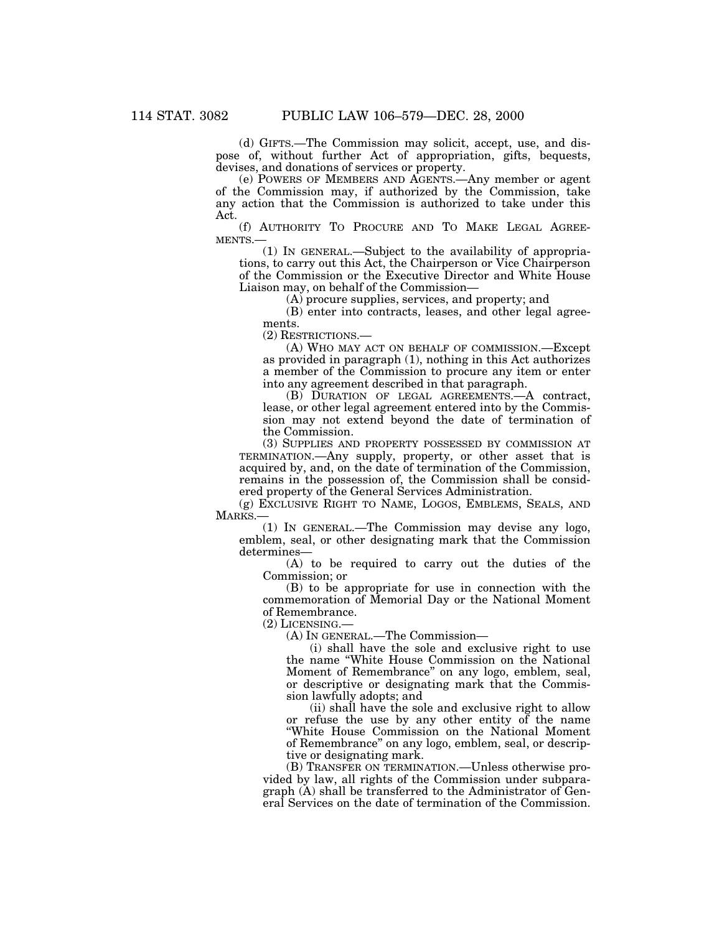(d) GIFTS.—The Commission may solicit, accept, use, and dispose of, without further Act of appropriation, gifts, bequests, devises, and donations of services or property.

(e) POWERS OF MEMBERS AND AGENTS.—Any member or agent of the Commission may, if authorized by the Commission, take any action that the Commission is authorized to take under this Act.

(f) AUTHORITY TO PROCURE AND TO MAKE LEGAL AGREE-MENTS.—

(1) IN GENERAL.—Subject to the availability of appropriations, to carry out this Act, the Chairperson or Vice Chairperson of the Commission or the Executive Director and White House Liaison may, on behalf of the Commission—

(A) procure supplies, services, and property; and

(B) enter into contracts, leases, and other legal agreements.

(2) RESTRICTIONS.—

(A) WHO MAY ACT ON BEHALF OF COMMISSION.—Except as provided in paragraph (1), nothing in this Act authorizes a member of the Commission to procure any item or enter into any agreement described in that paragraph.

(B) DURATION OF LEGAL AGREEMENTS.—A contract, lease, or other legal agreement entered into by the Commission may not extend beyond the date of termination of the Commission.

(3) SUPPLIES AND PROPERTY POSSESSED BY COMMISSION AT TERMINATION.—Any supply, property, or other asset that is acquired by, and, on the date of termination of the Commission, remains in the possession of, the Commission shall be considered property of the General Services Administration.

(g) EXCLUSIVE RIGHT TO NAME, LOGOS, EMBLEMS, SEALS, AND MARKS.—

(1) IN GENERAL.—The Commission may devise any logo, emblem, seal, or other designating mark that the Commission determines—

(A) to be required to carry out the duties of the Commission; or

(B) to be appropriate for use in connection with the commemoration of Memorial Day or the National Moment of Remembrance.

(2) LICENSING.—

(A) IN GENERAL.—The Commission—

(i) shall have the sole and exclusive right to use the name ''White House Commission on the National Moment of Remembrance'' on any logo, emblem, seal, or descriptive or designating mark that the Commission lawfully adopts; and

(ii) shall have the sole and exclusive right to allow or refuse the use by any other entity of the name ''White House Commission on the National Moment of Remembrance'' on any logo, emblem, seal, or descriptive or designating mark.

(B) TRANSFER ON TERMINATION.—Unless otherwise provided by law, all rights of the Commission under subparagraph (A) shall be transferred to the Administrator of General Services on the date of termination of the Commission.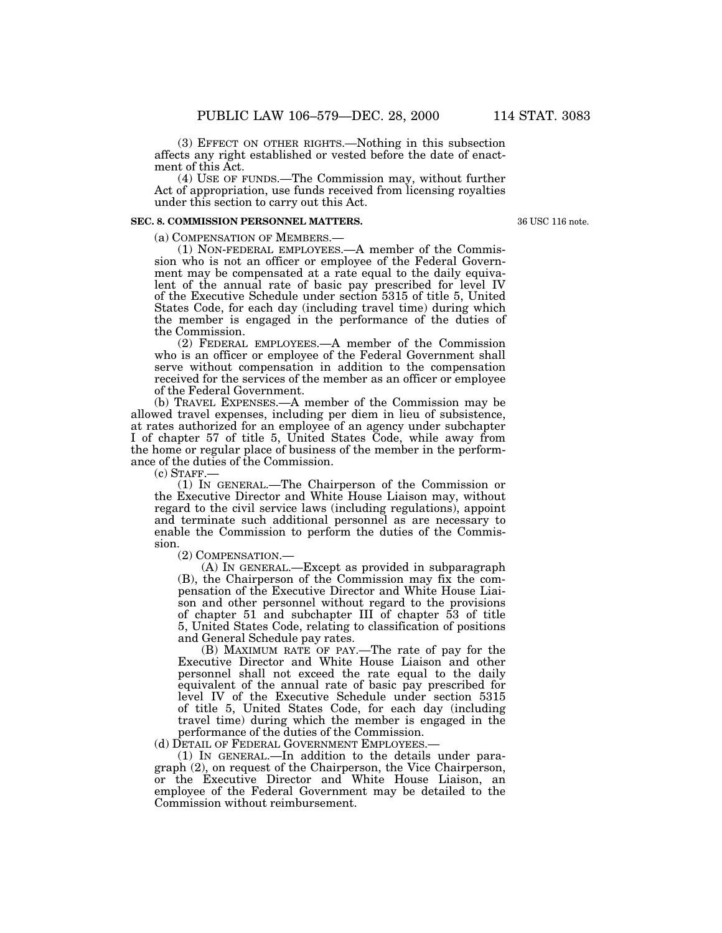(3) EFFECT ON OTHER RIGHTS.—Nothing in this subsection affects any right established or vested before the date of enactment of this Act.

(4) USE OF FUNDS.—The Commission may, without further Act of appropriation, use funds received from licensing royalties under this section to carry out this Act.

# **SEC. 8. COMMISSION PERSONNEL MATTERS.**

36 USC 116 note.

(a) COMPENSATION OF MEMBERS.— (1) NON-FEDERAL EMPLOYEES.—A member of the Commission who is not an officer or employee of the Federal Government may be compensated at a rate equal to the daily equivalent of the annual rate of basic pay prescribed for level IV of the Executive Schedule under section 5315 of title 5, United States Code, for each day (including travel time) during which the member is engaged in the performance of the duties of the Commission.

(2) FEDERAL EMPLOYEES.—A member of the Commission who is an officer or employee of the Federal Government shall serve without compensation in addition to the compensation received for the services of the member as an officer or employee of the Federal Government.

(b) TRAVEL EXPENSES.—A member of the Commission may be allowed travel expenses, including per diem in lieu of subsistence, at rates authorized for an employee of an agency under subchapter I of chapter 57 of title 5, United States Code, while away from the home or regular place of business of the member in the performance of the duties of the Commission.

 $(c)$  STAFF. $-$ 

(1) IN GENERAL.—The Chairperson of the Commission or the Executive Director and White House Liaison may, without regard to the civil service laws (including regulations), appoint and terminate such additional personnel as are necessary to enable the Commission to perform the duties of the Commission.

(2) COMPENSATION.—

(A) IN GENERAL.—Except as provided in subparagraph (B), the Chairperson of the Commission may fix the compensation of the Executive Director and White House Liaison and other personnel without regard to the provisions of chapter 51 and subchapter III of chapter 53 of title 5, United States Code, relating to classification of positions and General Schedule pay rates.

(B) MAXIMUM RATE OF PAY.—The rate of pay for the Executive Director and White House Liaison and other personnel shall not exceed the rate equal to the daily equivalent of the annual rate of basic pay prescribed for level IV of the Executive Schedule under section 5315 of title 5, United States Code, for each day (including travel time) during which the member is engaged in the performance of the duties of the Commission.

(d) DETAIL OF FEDERAL GOVERNMENT EMPLOYEES.—

(1) IN GENERAL.—In addition to the details under paragraph (2), on request of the Chairperson, the Vice Chairperson, or the Executive Director and White House Liaison, an employee of the Federal Government may be detailed to the Commission without reimbursement.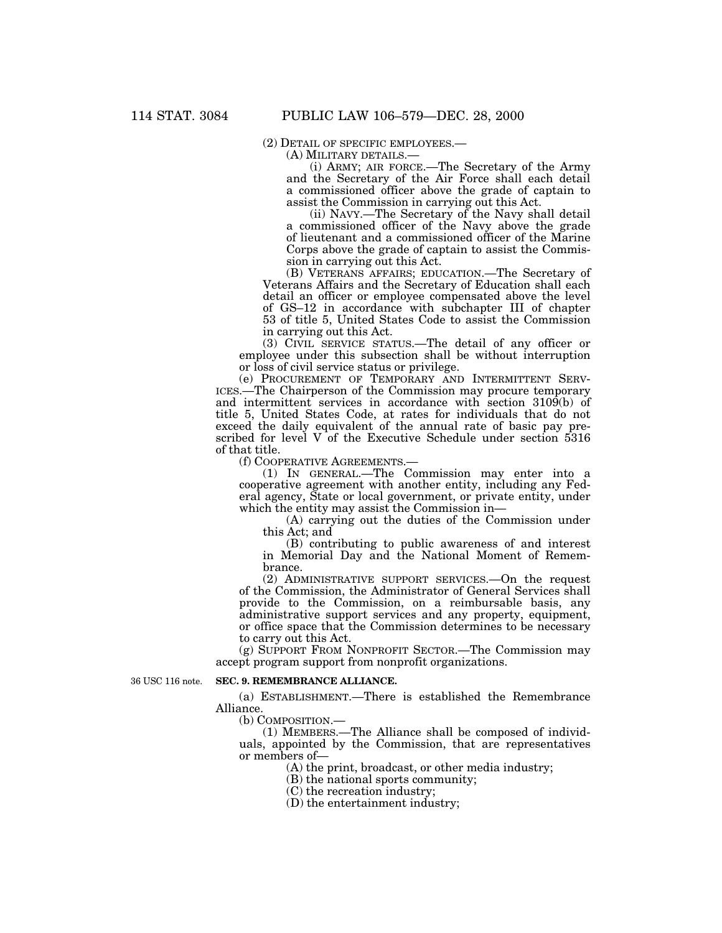(2) DETAIL OF SPECIFIC EMPLOYEES.— (A) MILITARY DETAILS.— (i) ARMY; AIR FORCE.—The Secretary of the Army and the Secretary of the Air Force shall each detail a commissioned officer above the grade of captain to assist the Commission in carrying out this Act.

(ii) NAVY.—The Secretary of the Navy shall detail a commissioned officer of the Navy above the grade of lieutenant and a commissioned officer of the Marine Corps above the grade of captain to assist the Commission in carrying out this Act.

(B) VETERANS AFFAIRS; EDUCATION.—The Secretary of Veterans Affairs and the Secretary of Education shall each detail an officer or employee compensated above the level of GS–12 in accordance with subchapter III of chapter 53 of title 5, United States Code to assist the Commission in carrying out this Act.

(3) CIVIL SERVICE STATUS.—The detail of any officer or employee under this subsection shall be without interruption or loss of civil service status or privilege.

(e) PROCUREMENT OF TEMPORARY AND INTERMITTENT SERV-ICES.—The Chairperson of the Commission may procure temporary and intermittent services in accordance with section 3109(b) of title 5, United States Code, at rates for individuals that do not exceed the daily equivalent of the annual rate of basic pay prescribed for level V of the Executive Schedule under section 5316 of that title.

(f) COOPERATIVE AGREEMENTS.—

(1) IN GENERAL.—The Commission may enter into a cooperative agreement with another entity, including any Federal agency, State or local government, or private entity, under which the entity may assist the Commission in—

(A) carrying out the duties of the Commission under this Act; and

(B) contributing to public awareness of and interest in Memorial Day and the National Moment of Remembrance.

(2) ADMINISTRATIVE SUPPORT SERVICES.—On the request of the Commission, the Administrator of General Services shall provide to the Commission, on a reimbursable basis, any administrative support services and any property, equipment, or office space that the Commission determines to be necessary to carry out this Act.

(g) SUPPORT FROM NONPROFIT SECTOR.—The Commission may accept program support from nonprofit organizations.

36 USC 116 note.

### **SEC. 9. REMEMBRANCE ALLIANCE.**

(a) ESTABLISHMENT.—There is established the Remembrance Alliance.

(b) COMPOSITION.—

(1) MEMBERS.—The Alliance shall be composed of individuals, appointed by the Commission, that are representatives or members of—

(A) the print, broadcast, or other media industry;

(B) the national sports community;

(C) the recreation industry;

(D) the entertainment industry;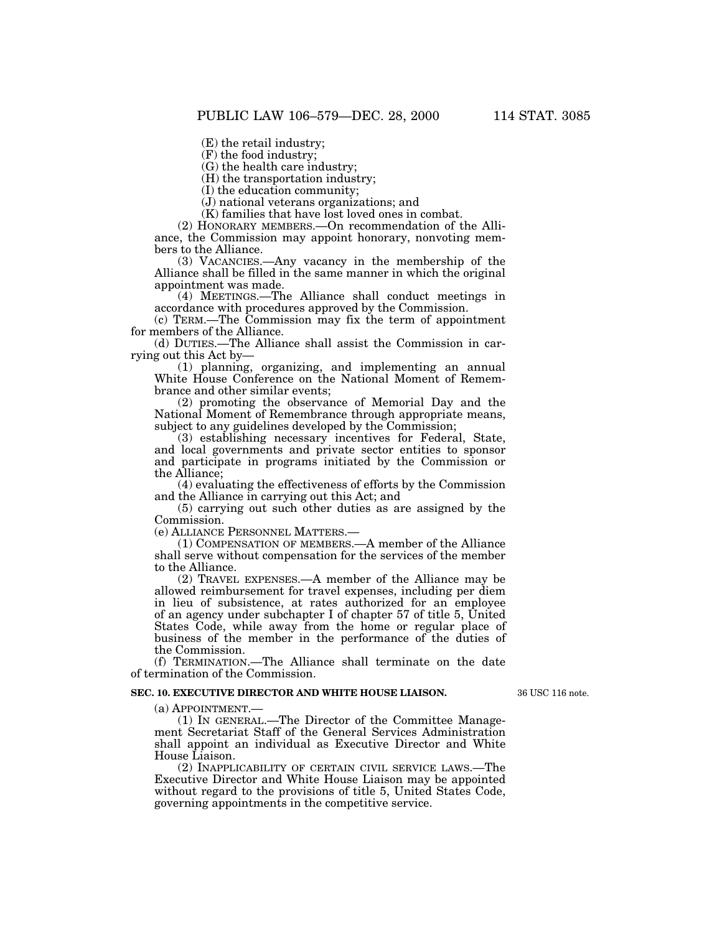(E) the retail industry;

(F) the food industry;

(G) the health care industry;

(H) the transportation industry;

(I) the education community;

(J) national veterans organizations; and

(K) families that have lost loved ones in combat.

(2) HONORARY MEMBERS.—On recommendation of the Alliance, the Commission may appoint honorary, nonvoting members to the Alliance.

(3) VACANCIES.—Any vacancy in the membership of the Alliance shall be filled in the same manner in which the original appointment was made.

(4) MEETINGS.—The Alliance shall conduct meetings in accordance with procedures approved by the Commission.

(c) TERM.—The Commission may fix the term of appointment for members of the Alliance.

(d) DUTIES.—The Alliance shall assist the Commission in carrying out this Act by—

(1) planning, organizing, and implementing an annual White House Conference on the National Moment of Remembrance and other similar events;

(2) promoting the observance of Memorial Day and the National Moment of Remembrance through appropriate means, subject to any guidelines developed by the Commission;

(3) establishing necessary incentives for Federal, State, and local governments and private sector entities to sponsor and participate in programs initiated by the Commission or the Alliance;

(4) evaluating the effectiveness of efforts by the Commission and the Alliance in carrying out this Act; and

(5) carrying out such other duties as are assigned by the Commission.

(e) ALLIANCE PERSONNEL MATTERS.—

(1) COMPENSATION OF MEMBERS.—A member of the Alliance shall serve without compensation for the services of the member to the Alliance.

(2) TRAVEL EXPENSES.—A member of the Alliance may be allowed reimbursement for travel expenses, including per diem in lieu of subsistence, at rates authorized for an employee of an agency under subchapter I of chapter 57 of title 5, United States Code, while away from the home or regular place of business of the member in the performance of the duties of the Commission.

(f) TERMINATION.—The Alliance shall terminate on the date of termination of the Commission.

#### **SEC. 10. EXECUTIVE DIRECTOR AND WHITE HOUSE LIAISON.**

36 USC 116 note.

(a) APPOINTMENT.—

(1) IN GENERAL.—The Director of the Committee Management Secretariat Staff of the General Services Administration shall appoint an individual as Executive Director and White House Liaison.

(2) INAPPLICABILITY OF CERTAIN CIVIL SERVICE LAWS.—The Executive Director and White House Liaison may be appointed without regard to the provisions of title 5, United States Code, governing appointments in the competitive service.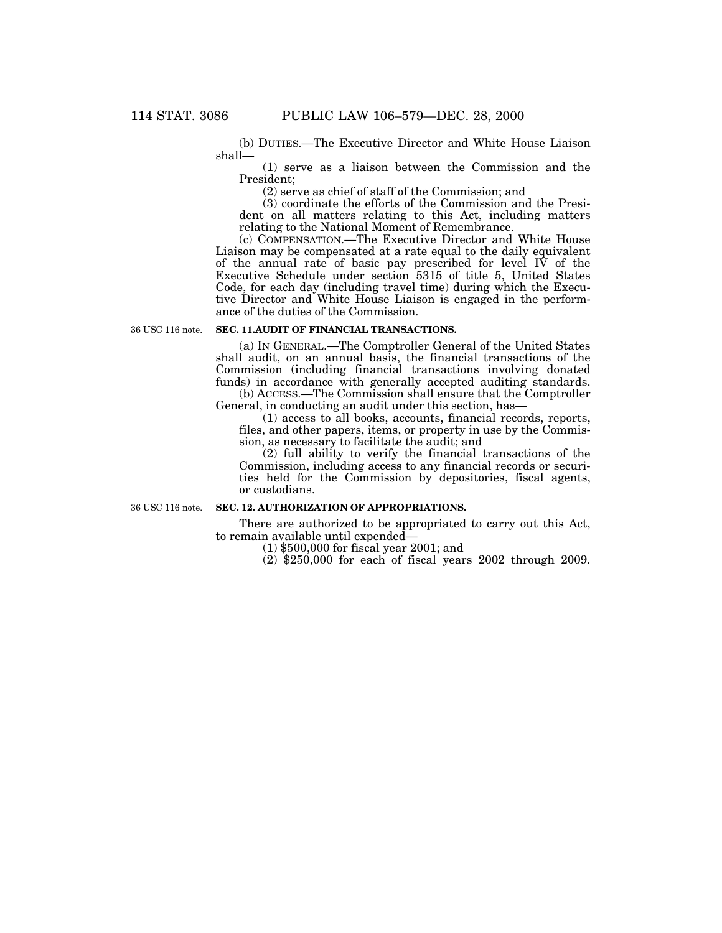(b) DUTIES.—The Executive Director and White House Liaison shall—

(1) serve as a liaison between the Commission and the President;

(2) serve as chief of staff of the Commission; and

(3) coordinate the efforts of the Commission and the President on all matters relating to this Act, including matters relating to the National Moment of Remembrance.

(c) COMPENSATION.—The Executive Director and White House Liaison may be compensated at a rate equal to the daily equivalent of the annual rate of basic pay prescribed for level IV of the Executive Schedule under section 5315 of title 5, United States Code, for each day (including travel time) during which the Executive Director and White House Liaison is engaged in the performance of the duties of the Commission.

36 USC 116 note.

#### **SEC. 11.AUDIT OF FINANCIAL TRANSACTIONS.**

(a) IN GENERAL.—The Comptroller General of the United States shall audit, on an annual basis, the financial transactions of the Commission (including financial transactions involving donated funds) in accordance with generally accepted auditing standards. (b) ACCESS.—The Commission shall ensure that the Comptroller

General, in conducting an audit under this section, has—

(1) access to all books, accounts, financial records, reports, files, and other papers, items, or property in use by the Commission, as necessary to facilitate the audit; and

(2) full ability to verify the financial transactions of the Commission, including access to any financial records or securities held for the Commission by depositories, fiscal agents, or custodians.

36 USC 116 note.

#### **SEC. 12. AUTHORIZATION OF APPROPRIATIONS.**

There are authorized to be appropriated to carry out this Act, to remain available until expended—

(1) \$500,000 for fiscal year 2001; and

(2) \$250,000 for each of fiscal years 2002 through 2009.